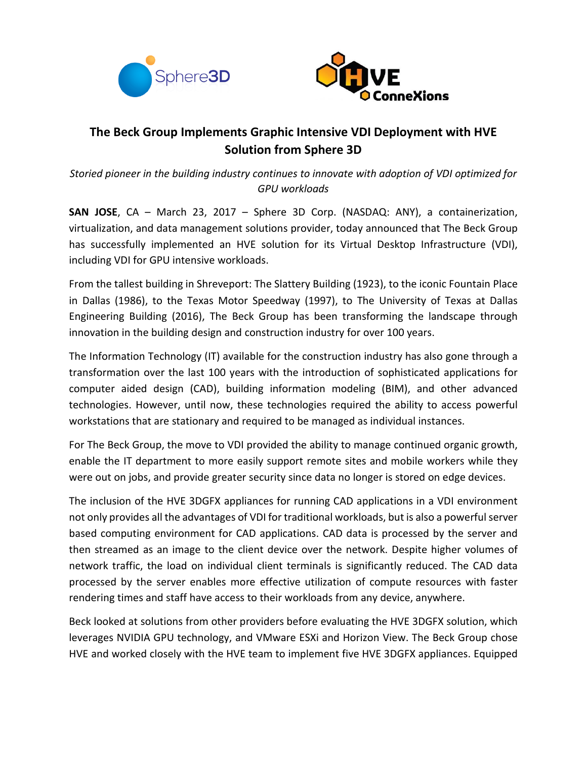



# **The Beck Group Implements Graphic Intensive VDI Deployment with HVE Solution from Sphere 3D**

*Storied pioneer in the building industry continues to innovate with adoption of VDI optimized for GPU workloads*

**SAN JOSE**, CA – March 23, 2017 – Sphere 3D Corp. (NASDAQ: ANY), a containerization, virtualization, and data management solutions provider, today announced that The Beck Group has successfully implemented an HVE solution for its Virtual Desktop Infrastructure (VDI), including VDI for GPU intensive workloads.

From the tallest building in Shreveport: The Slattery Building (1923), to the iconic Fountain Place in Dallas (1986), to the Texas Motor Speedway (1997), to The University of Texas at Dallas Engineering Building (2016), The Beck Group has been transforming the landscape through innovation in the building design and construction industry for over 100 years.

The Information Technology (IT) available for the construction industry has also gone through a transformation over the last 100 years with the introduction of sophisticated applications for computer aided design (CAD), building information modeling (BIM), and other advanced technologies. However, until now, these technologies required the ability to access powerful workstations that are stationary and required to be managed as individual instances.

For The Beck Group, the move to VDI provided the ability to manage continued organic growth, enable the IT department to more easily support remote sites and mobile workers while they were out on jobs, and provide greater security since data no longer is stored on edge devices.

The inclusion of the HVE 3DGFX appliances for running CAD applications in a VDI environment not only provides all the advantages of VDI for traditional workloads, but is also a powerfulserver based computing environment for CAD applications. CAD data is processed by the server and then streamed as an image to the client device over the network. Despite higher volumes of network traffic, the load on individual client terminals is significantly reduced. The CAD data processed by the server enables more effective utilization of compute resources with faster rendering times and staff have access to their workloads from any device, anywhere.

Beck looked at solutions from other providers before evaluating the HVE 3DGFX solution, which leverages NVIDIA GPU technology, and VMware ESXi and Horizon View. The Beck Group chose HVE and worked closely with the HVE team to implement five HVE 3DGFX appliances. Equipped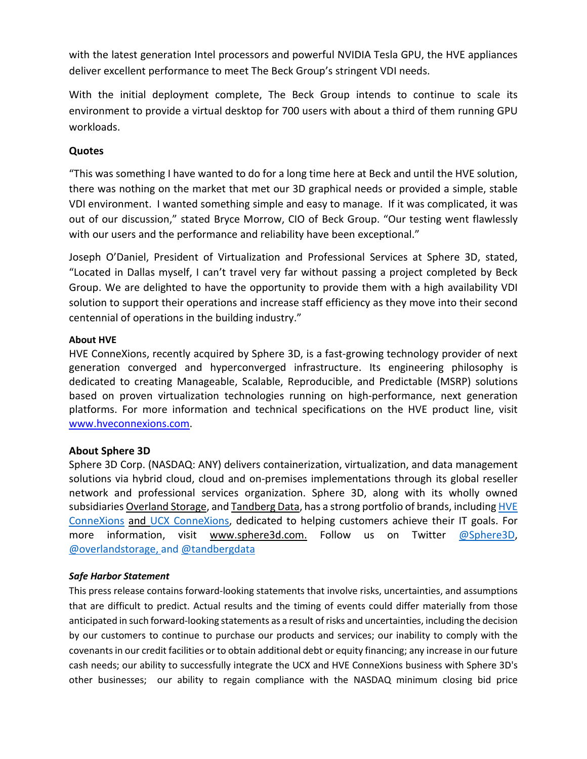with the latest generation Intel processors and powerful NVIDIA Tesla GPU, the HVE appliances deliver excellent performance to meet The Beck Group's stringent VDI needs.

With the initial deployment complete, The Beck Group intends to continue to scale its environment to provide a virtual desktop for 700 users with about a third of them running GPU workloads.

## **Quotes**

"This was something I have wanted to do for a long time here at Beck and until the HVE solution, there was nothing on the market that met our 3D graphical needs or provided a simple, stable VDI environment. I wanted something simple and easy to manage. If it was complicated, it was out of our discussion," stated Bryce Morrow, CIO of Beck Group. "Our testing went flawlessly with our users and the performance and reliability have been exceptional."

Joseph O'Daniel, President of Virtualization and Professional Services at Sphere 3D, stated, "Located in Dallas myself, I can't travel very far without passing a project completed by Beck Group. We are delighted to have the opportunity to provide them with a high availability VDI solution to support their operations and increase staff efficiency as they move into their second centennial of operations in the building industry."

### **About HVE**

HVE ConneXions, recently acquired by Sphere 3D, is a fast-growing technology provider of next generation converged and hyperconverged infrastructure. Its engineering philosophy is dedicated to creating Manageable, Scalable, Reproducible, and Predictable (MSRP) solutions based on proven virtualization technologies running on high-performance, next generation platforms. For more information and technical specifications on the HVE product line, visit [www.hveconnexions.com.](http://www.hveconnexions.com/)

## **About Sphere 3D**

Sphere 3D Corp. (NASDAQ: ANY) delivers containerization, virtualization, and data management solutions via hybrid cloud, cloud and on-premises implementations through its global reseller network and professional services organization. Sphere 3D, along with its wholly owned subsidiaries [Overland](http://www.overlandstorage.com/) Storage, and [Tandberg](http://www.tandbergdata.com/us/) Data, has a strong portfolio of brands, including [HVE](http://www.hveconnexions.com/) [ConneXions](http://www.hveconnexions.com/) and UCX [ConneXions,](http://www.ucxs.net/) dedicated to helping customers achieve their IT goals. For more information, visit [www.sphere3d.com.](http://www.sphere3d.com/) Follow us on Twitter [@Sphere3D,](https://twitter.com/Sphere3D?ref_src=twsrc%25255Etfw) [@overlandstorage,](https://twitter.com/OverlandStorage) and [@tandbergdata](https://twitter.com/@tandbergdata)

#### *Safe Harbor Statement*

This press release contains forward-looking statements that involve risks, uncertainties, and assumptions that are difficult to predict. Actual results and the timing of events could differ materially from those anticipated in such forward-looking statements as a result ofrisks and uncertainties, including the decision by our customers to continue to purchase our products and services; our inability to comply with the covenantsin our credit facilities or to obtain additional debt or equity financing; any increase in our future cash needs; our ability to successfully integrate the UCX and HVE ConneXions business with Sphere 3D's other businesses; our ability to regain compliance with the NASDAQ minimum closing bid price